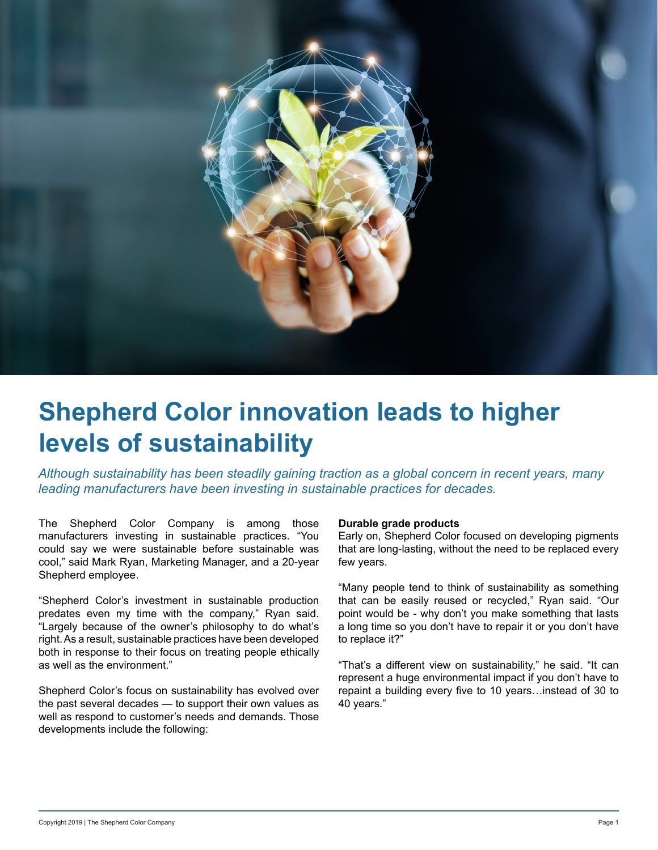

# **Shepherd Color innovation leads to higher levels of sustainability**

*Although sustainability has been steadily gaining traction as a global concern in recent years, many leading manufacturers have been investing in sustainable practices for decades.*

The Shepherd Color Company is among those manufacturers investing in sustainable practices. "You could say we were sustainable before sustainable was cool," said Mark Ryan, Marketing Manager, and a 20-year Shepherd employee.

"Shepherd Color's investment in sustainable production predates even my time with the company," Ryan said. "Largely because of the owner's philosophy to do what's right. As a result, sustainable practices have been developed both in response to their focus on treating people ethically as well as the environment."

Shepherd Color's focus on sustainability has evolved over the past several decades — to support their own values as well as respond to customer's needs and demands. Those developments include the following:

#### **Durable grade products**

Early on, Shepherd Color focused on developing pigments that are long-lasting, without the need to be replaced every few years.

"Many people tend to think of sustainability as something that can be easily reused or recycled," Ryan said. "Our point would be - why don't you make something that lasts a long time so you don't have to repair it or you don't have to replace it?"

"That's a different view on sustainability," he said. "It can represent a huge environmental impact if you don't have to repaint a building every five to 10 years…instead of 30 to 40 years."